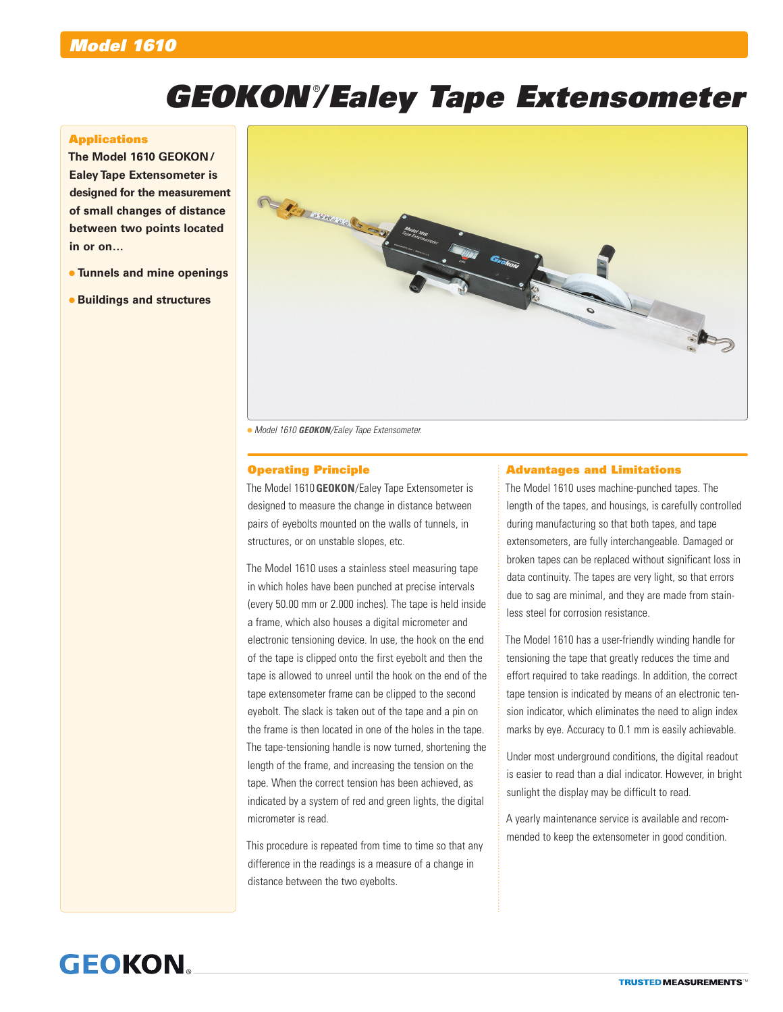# *GEOKON®/Ealey Tape Extensometer*

#### **Applications**

**The Model 1610 GEOKON/ Ealey Tape Extensometer is designed for the measurement of small changes of distance between two points located in or on…**

- **Tunnels and mine openings**
- **Buildings and structures**



*Model 1610 GEOKON/Ealey Tape Extensometer.*

### Operating Principle

The Model 1610**GEOKON**/Ealey Tape Extensometer is designed to measure the change in distance between pairs of eyebolts mounted on the walls of tunnels, in structures, or on unstable slopes, etc.

The Model 1610 uses a stainless steel measuring tape in which holes have been punched at precise intervals (every 50.00 mm or 2.000 inches). The tape is held inside a frame, which also houses a digital micrometer and electronic tensioning device. In use, the hook on the end of the tape is clipped onto the first eyebolt and then the tape is allowed to unreel until the hook on the end of the tape extensometer frame can be clipped to the second eyebolt. The slack is taken out of the tape and a pin on the frame is then located in one of the holes in the tape. The tape-tensioning handle is now turned, shortening the length of the frame, and increasing the tension on the tape. When the correct tension has been achieved, as indicated by a system of red and green lights, the digital micrometer is read.

This procedure is repeated from time to time so that any difference in the readings is a measure of a change in distance between the two eyebolts.

### Advantages and Limitations

The Model 1610 uses machine-punched tapes. The length of the tapes, and housings, is carefully controlled during manufacturing so that both tapes, and tape extensometers, are fully interchangeable. Damaged or broken tapes can be replaced without significant loss in data continuity. The tapes are very light, so that errors due to sag are minimal, and they are made from stainless steel for corrosion resistance.

The Model 1610 has a user-friendly winding handle for tensioning the tape that greatly reduces the time and effort required to take readings. In addition, the correct tape tension is indicated by means of an electronic tension indicator, which eliminates the need to align index marks by eye. Accuracy to 0.1 mm is easily achievable.

Under most underground conditions, the digital readout is easier to read than a dial indicator. However, in bright sunlight the display may be difficult to read.

A yearly maintenance service is available and recommended to keep the extensometer in good condition.

# **GEOKON**